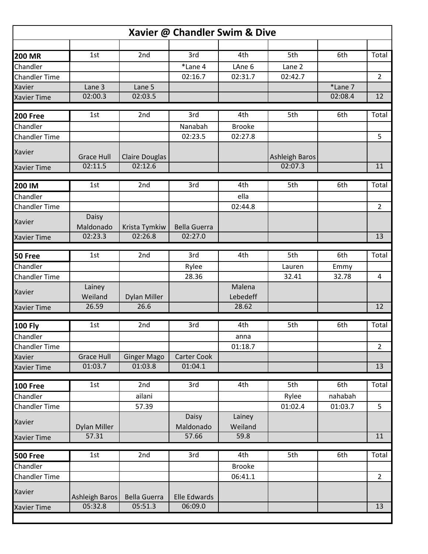| Xavier @ Chandler Swim & Dive |                     |                       |                     |                   |                       |         |                |  |  |  |  |  |
|-------------------------------|---------------------|-----------------------|---------------------|-------------------|-----------------------|---------|----------------|--|--|--|--|--|
|                               |                     |                       |                     |                   |                       |         |                |  |  |  |  |  |
| <b>200 MR</b>                 | 1st                 | 2nd                   | 3rd                 | 4th               | 5th                   | 6th     | Total          |  |  |  |  |  |
| Chandler                      |                     |                       | *Lane 4             | LAne 6            | Lane 2                |         |                |  |  |  |  |  |
| <b>Chandler Time</b>          |                     |                       | 02:16.7             | 02:31.7           | 02:42.7               |         | $\overline{2}$ |  |  |  |  |  |
| Xavier                        | Lane 3              | Lane 5                |                     |                   |                       | *Lane 7 |                |  |  |  |  |  |
| <b>Xavier Time</b>            | 02:00.3             | 02:03.5               |                     |                   |                       | 02:08.4 | 12             |  |  |  |  |  |
| <b>200 Free</b>               | 1st                 | 2nd                   | 3rd                 | 4th               | 5th                   | 6th     | Total          |  |  |  |  |  |
| Chandler                      |                     |                       | Nanabah             | <b>Brooke</b>     |                       |         |                |  |  |  |  |  |
| <b>Chandler Time</b>          |                     |                       | 02:23.5             | 02:27.8           |                       |         | 5              |  |  |  |  |  |
| <b>Xavier</b>                 | <b>Grace Hull</b>   | <b>Claire Douglas</b> |                     |                   | <b>Ashleigh Baros</b> |         |                |  |  |  |  |  |
| <b>Xavier Time</b>            | 02:11.5             | 02:12.6               |                     |                   | 02:07.3               |         | 11             |  |  |  |  |  |
|                               |                     |                       |                     |                   |                       |         |                |  |  |  |  |  |
| 200 IM                        | 1st                 | 2nd                   | 3rd                 | 4th               | 5th                   | 6th     | Total          |  |  |  |  |  |
| Chandler                      |                     |                       |                     | ella              |                       |         |                |  |  |  |  |  |
| <b>Chandler Time</b>          |                     |                       |                     | 02:44.8           |                       |         | $\overline{2}$ |  |  |  |  |  |
| <b>Xavier</b>                 | Daisy<br>Maldonado  | Krista Tymkiw         | <b>Bella Guerra</b> |                   |                       |         |                |  |  |  |  |  |
| <b>Xavier Time</b>            | 02:23.3             | 02:26.8               | 02:27.0             |                   |                       |         | 13             |  |  |  |  |  |
|                               |                     |                       |                     |                   |                       |         |                |  |  |  |  |  |
| 50 Free                       | 1st                 | 2nd                   | 3rd                 | 4th               | 5th                   | 6th     | Total          |  |  |  |  |  |
| Chandler                      |                     |                       | Rylee               |                   | Lauren                | Emmy    |                |  |  |  |  |  |
| <b>Chandler Time</b>          |                     |                       | 28.36               |                   | 32.41                 | 32.78   | 4              |  |  |  |  |  |
| <b>Xavier</b>                 | Lainey              |                       |                     | Malena            |                       |         |                |  |  |  |  |  |
|                               | Weiland             | <b>Dylan Miller</b>   |                     | Lebedeff          |                       |         |                |  |  |  |  |  |
| <b>Xavier Time</b>            | 26.59               | 26.6                  |                     | 28.62             |                       |         | 12             |  |  |  |  |  |
| <b>100 Fly</b>                | 1st                 | 2nd                   | 3rd                 | 4th               | 5th                   | 6th     | Total          |  |  |  |  |  |
| Chandler                      |                     |                       |                     | anna              |                       |         |                |  |  |  |  |  |
| <b>Chandler Time</b>          |                     |                       |                     | 01:18.7           |                       |         | $\overline{2}$ |  |  |  |  |  |
| <b>Xavier</b>                 | <b>Grace Hull</b>   | <b>Ginger Mago</b>    | Carter Cook         |                   |                       |         |                |  |  |  |  |  |
| <b>Xavier Time</b>            | 01:03.7             | 01:03.8               | 01:04.1             |                   |                       |         | 13             |  |  |  |  |  |
|                               |                     |                       |                     |                   |                       |         |                |  |  |  |  |  |
| <b>100 Free</b>               | 1st                 | 2nd                   | 3rd                 | 4th               | 5th                   | 6th     | Total          |  |  |  |  |  |
| Chandler                      |                     | ailani                |                     |                   | Rylee                 | nahabah |                |  |  |  |  |  |
| <b>Chandler Time</b>          |                     | 57.39                 |                     |                   | 01:02.4               | 01:03.7 | 5              |  |  |  |  |  |
| Xavier                        | <b>Dylan Miller</b> |                       | Daisy<br>Maldonado  | Lainey<br>Weiland |                       |         |                |  |  |  |  |  |
| <b>Xavier Time</b>            | 57.31               |                       | 57.66               | 59.8              |                       |         | 11             |  |  |  |  |  |
|                               |                     |                       |                     |                   |                       |         |                |  |  |  |  |  |
| <b>500 Free</b>               | 1st                 | 2nd                   | 3rd                 | 4th               | 5th                   | 6th     | Total          |  |  |  |  |  |
| Chandler                      |                     |                       |                     | <b>Brooke</b>     |                       |         |                |  |  |  |  |  |
| <b>Chandler Time</b>          |                     |                       |                     | 06:41.1           |                       |         | $\overline{2}$ |  |  |  |  |  |
| Xavier                        | Ashleigh Baros      | <b>Bella Guerra</b>   | <b>Elle Edwards</b> |                   |                       |         |                |  |  |  |  |  |
| <b>Xavier Time</b>            | 05:32.8             | 05:51.3               | 06:09.0             |                   |                       |         | 13             |  |  |  |  |  |
|                               |                     |                       |                     |                   |                       |         |                |  |  |  |  |  |